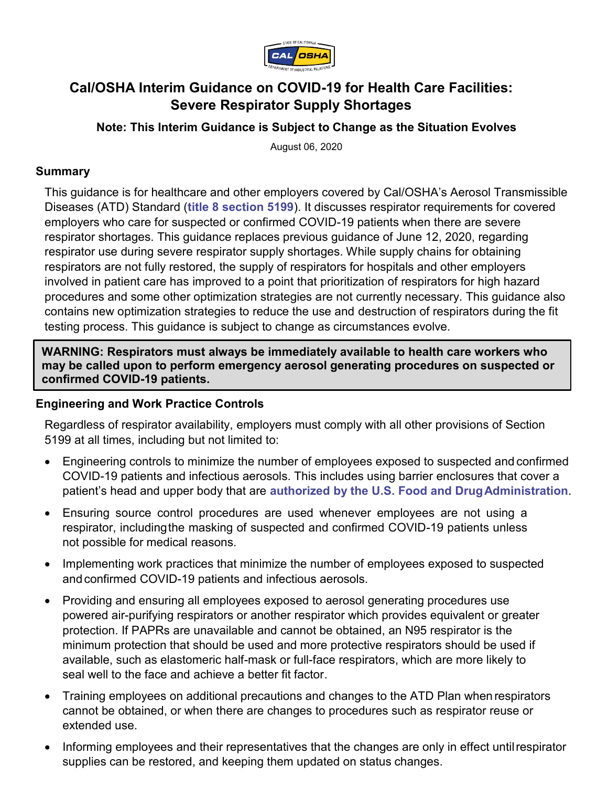

# **Cal/OSHA Interim Guidance on COVID-19 for Health Care Facilities: Severe Respirator Supply Shortages**

**Note: This Interim Guidance is Subject to Change as the Situation Evolves** 

August 06, 2020

#### **Summary**

This guidance is for healthcare and other employers covered by Cal/OSHA's Aerosol Transmissible Diseases (ATD) Standard (**[title 8 section 5199](https://www.dir.ca.gov/title8/5199.html)**). It discusses respirator requirements for covered employers who care for suspected or confirmed COVID-19 patients when there are severe respirator shortages. This guidance replaces previous guidance of June 12, 2020, regarding respirator use during severe respirator supply shortages. While supply chains for obtaining respirators are not fully restored, the supply of respirators for hospitals and other employers involved in patient care has improved to a point that prioritization of respirators for high hazard procedures and some other optimization strategies are not currently necessary. This guidance also contains new optimization strategies to reduce the use and destruction of respirators during the fit testing process. This guidance is subject to change as circumstances evolve.

**WARNING: Respirators must always be immediately available to health care workers who may be called upon to perform emergency aerosol generating procedures on suspected or confirmed COVID-19 patients.**

#### **Engineering and Work Practice Controls**

Regardless of respirator availability, employers must comply with all other provisions of Section 5199 at all times, including but not limited to:

- Engineering controls to minimize the number of employees exposed to suspected and confirmed COVID-19 patients and infectious aerosols. This includes using barrier enclosures that cover a patient's head and upper body that are **[authorized by the U.S. Food and DrugAdministration](https://www.fda.gov/media/137584/download)**.
- Ensuring source control procedures are used whenever employees are not using a respirator, includingthe masking of suspected and confirmed COVID-19 patients unless not possible for medical reasons.
- Implementing work practices that minimize the number of employees exposed to suspected and confirmed COVID-19 patients and infectious aerosols.
- Providing and ensuring all employees exposed to aerosol generating procedures use powered air-purifying respirators or another respirator which provides equivalent or greater protection. If PAPRs are unavailable and cannot be obtained, an N95 respirator is the minimum protection that should be used and more protective respirators should be used if available, such as elastomeric half-mask or full-face respirators, which are more likely to seal well to the face and achieve a better fit factor.
- Training employees on additional precautions and changes to the ATD Plan when respirators cannot be obtained, or when there are changes to procedures such as respirator reuse or extended use.
- Informing employees and their representatives that the changes are only in effect untilrespirator supplies can be restored, and keeping them updated on status changes.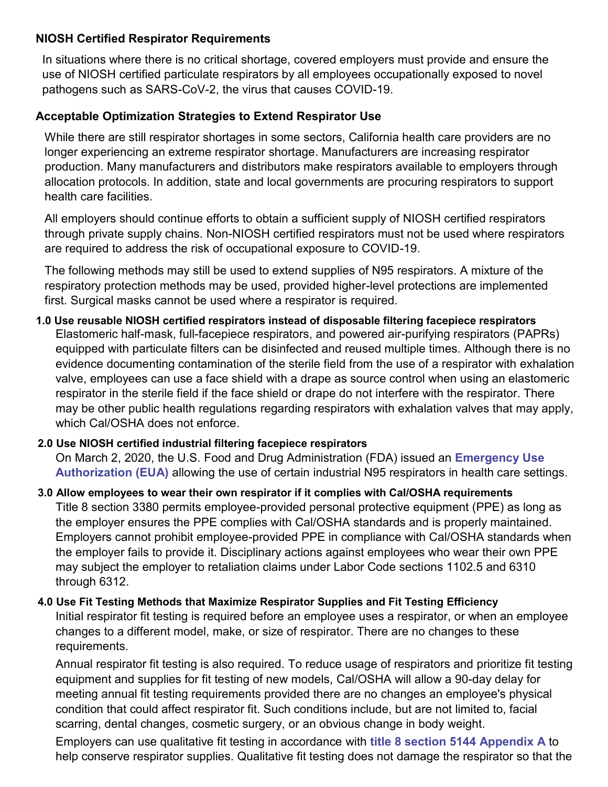## **NIOSH Certified Respirator Requirements**

In situations where there is no critical shortage, covered employers must provide and ensure the use of NIOSH certified particulate respirators by all employees occupationally exposed to novel pathogens such as SARS-CoV-2, the virus that causes COVID-19.

## **Acceptable Optimization Strategies to Extend Respirator Use**

While there are still respirator shortages in some sectors, California health care providers are no longer experiencing an extreme respirator shortage. Manufacturers are increasing respirator production. Many manufacturers and distributors make respirators available to employers through allocation protocols. In addition, state and local governments are procuring respirators to support health care facilities.

All employers should continue efforts to obtain a sufficient supply of NIOSH certified respirators through private supply chains. Non-NIOSH certified respirators must not be used where respirators are required to address the risk of occupational exposure to COVID-19.

The following methods may still be used to extend supplies of N95 respirators. A mixture of the respiratory protection methods may be used, provided higher-level protections are implemented first. Surgical masks cannot be used where a respirator is required.

# **1.0 Use reusable NIOSH certified respirators instead of disposable filtering facepiece respirators** Elastomeric half-mask, full-facepiece respirators, and powered air-purifying respirators (PAPRs) equipped with particulate filters can be disinfected and reused multiple times. Although there is no evidence documenting contamination of the sterile field from the use of a respirator with exhalation valve, employees can use a face shield with a drape as source control when using an elastomeric respirator in the sterile field if the face shield or drape do not interfere with the respirator. There may be other public health regulations regarding respirators with exhalation valves that may apply, which Cal/OSHA does not enforce.

## **2.0 Use NIOSH certified industrial filtering facepiece respirators**

On March 2, 2020, the U.S. Food and Drug Administration (FDA) issued an **[Emergency](https://www.fda.gov/news-events/press-announcements/coronavirus-covid-19-update-fda-and-cdc-take-action-increase-access-respirators-including-n95s) Use [Authorization \(EUA\)](https://www.fda.gov/news-events/press-announcements/coronavirus-covid-19-update-fda-and-cdc-take-action-increase-access-respirators-including-n95s)** allowing the use of certain industrial N95 respirators in health care settings.

**3.0 Allow employees to wear their own respirator if it complies with Cal/OSHA requirements** Title 8 section 3380 permits employee-provided personal protective equipment (PPE) as long as the employer ensures the PPE complies with Cal/OSHA standards and is properly maintained. Employers cannot prohibit employee-provided PPE in compliance with Cal/OSHA standards when the employer fails to provide it. Disciplinary actions against employees who wear their own PPE may subject the employer to retaliation claims under Labor Code sections 1102.5 and 6310 through 6312.

## **4.0 Use Fit Testing Methods that Maximize Respirator Supplies and Fit Testing Efficiency**

Initial respirator fit testing is required before an employee uses a respirator, or when an employee changes to a different model, make, or size of respirator. There are no changes to these requirements.

Annual respirator fit testing is also required. To reduce usage of respirators and prioritize fit testing equipment and supplies for fit testing of new models, Cal/OSHA will allow a 90-day delay for meeting annual fit testing requirements provided there are no changes an employee's physical condition that could affect respirator fit. Such conditions include, but are not limited to, facial scarring, dental changes, cosmetic surgery, or an obvious change in body weight.

Employers can use qualitative fit testing in accordance with **[title 8 section 5144 Appendix A](https://www.dir.ca.gov/title8/5144a.html)** to help conserve respirator supplies. Qualitative fit testing does not damage the respirator so that the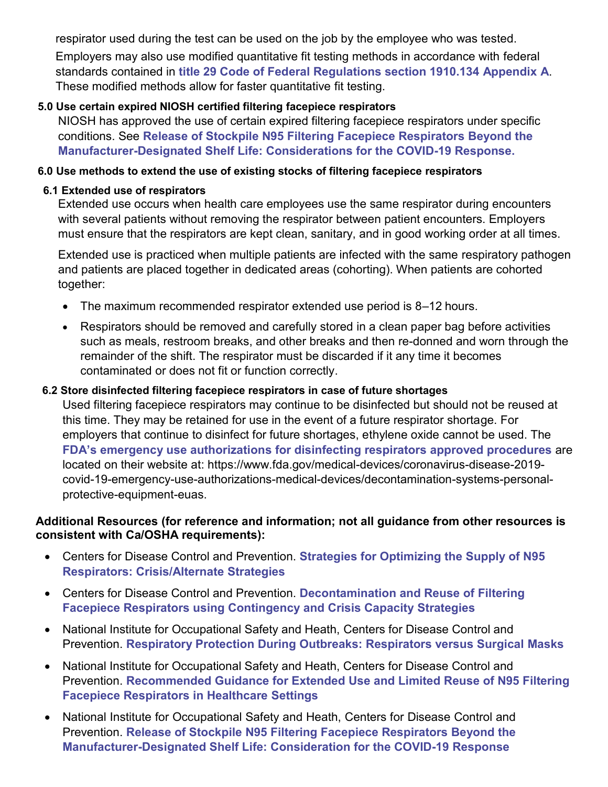respirator used during the test can be used on the job by the employee who was tested.

Employers may also use modified quantitative fit testing methods in accordance with federal standards contained in **[title 29 Code of Federal Regulations section 1910.134 Appendix A](https://www.osha.gov/laws-regs/regulations/standardnumber/1910/1910.134AppA)**. These modified methods allow for faster quantitative fit testing.

## **5.0 Use certain expired NIOSH certified filtering facepiece respirators**

NIOSH has approved the use of certain expired filtering facepiece respirators under specific conditions. See **[Release of Stockpile N95 Filtering Facepiece Respirators Beyond the](https://www.cdc.gov/coronavirus/2019-ncov/release-stockpiled-N95.html) [Manufacturer-Designated Shelf Life: Considerations for the COVID-19 Response.](https://www.cdc.gov/coronavirus/2019-ncov/release-stockpiled-N95.html)**

## **6.0 Use methods to extend the use of existing stocks of filtering facepiece respirators**

## **6.1 Extended use of respirators**

Extended use occurs when health care employees use the same respirator during encounters with several patients without removing the respirator between patient encounters. Employers must ensure that the respirators are kept clean, sanitary, and in good working order at all times.

Extended use is practiced when multiple patients are infected with the same respiratory pathogen and patients are placed together in dedicated areas (cohorting). When patients are cohorted together:

- The maximum recommended respirator extended use period is 8–12 hours.
- Respirators should be removed and carefully stored in a clean paper bag before activities such as meals, restroom breaks, and other breaks and then re-donned and worn through the remainder of the shift. The respirator must be discarded if it any time it becomes contaminated or does not fit or function correctly.

## **6.2 Store disinfected filtering facepiece respirators in case of future shortages**

Used filtering facepiece respirators may continue to be disinfected but should not be reused at this time. They may be retained for use in the event of a future respirator shortage. For employers that continue to disinfect for future shortages, ethylene oxide cannot be used. The **FDA's emergency use authorizations [for disinfecting respirators approved procedures](https://www.fda.gov/medical-devices/coronavirus-disease-2019-covid-19-emergency-use-authorizations-medical-devices/decontamination-systems-personal-protective-equipment-euas)** are located on their website at: https://www.fda.gov/medical-devices/coronavirus-disease-2019 covid-19-emergency-use-authorizations-medical-devices/decontamination-systems-personalprotective-equipment-euas.

#### **Additional Resources (for reference and information; not all guidance from other resources is consistent with Ca/OSHA requirements):**

- Centers for Disease Control and Prevention. **[Strategies for Optimizing the Supply of N95](https://www.cdc.gov/coronavirus/2019-ncov/hcp/respirators-strategy/crisis-alternate-strategies.html) [Respirators: Crisis/Alternate](https://www.cdc.gov/coronavirus/2019-ncov/hcp/respirators-strategy/crisis-alternate-strategies.html) Strategies**
- Centers for Disease Control and Prevention. **[Decontamination and Reuse of](https://www.cdc.gov/coronavirus/2019-ncov/hcp/ppe-strategy/decontamination-reuse-respirators.html) Filtering [Facepiece Respirators using Contingency and Crisis Capacity](https://www.cdc.gov/coronavirus/2019-ncov/hcp/ppe-strategy/decontamination-reuse-respirators.html) Strategies**
- National Institute for Occupational Safety and Heath, Centers for Disease Control and Prevention. **[Respiratory Protection During Outbreaks: Respirators versus Surgical](https://blogs.cdc.gov/niosh-science-blog/2020/04/09/masks-v-respirators/?deliveryName=USCDC_170-DM25481) Masks**
- National Institute for Occupational Safety and Heath, Centers for Disease Control and Prevention. **[Recommended Guidance for Extended Use and Limited Reuse of N95 Filtering](https://www.cdc.gov/niosh/topics/hcwcontrols/recommendedguidanceextuse.html) [Facepiece Respirators in Healthcare](https://www.cdc.gov/niosh/topics/hcwcontrols/recommendedguidanceextuse.html) Settings**
- National Institute for Occupational Safety and Heath, Centers for Disease Control and Prevention. **[Release of Stockpile N95 Filtering Facepiece Respirators Beyond the](https://www.cdc.gov/coronavirus/2019-ncov/release-stockpiled-N95.html) [Manufacturer-Designated Shelf Life: Consideration for the COVID-19](https://www.cdc.gov/coronavirus/2019-ncov/release-stockpiled-N95.html) Response**